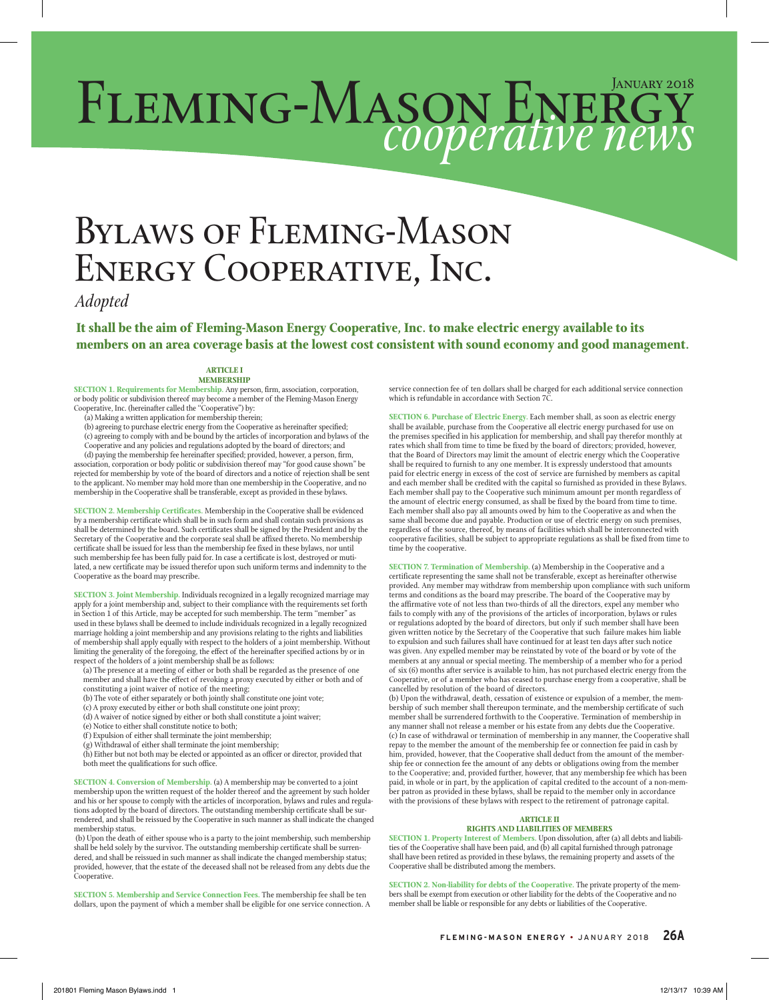# FLEMING-MASON ENERGY *cooperative news*

## Bylaws of Fleming-Mason Energy Cooperative, Inc.

*Adopted*

**It shall be the aim of Fleming-Mason Energy Cooperative, Inc. to make electric energy available to its members on an area coverage basis at the lowest cost consistent with sound economy and good management.**

#### **ARTICLE I MEMBERSHIP**

**SECTION 1. Requirements for Membership.** Any person, firm, association, corporation, or body politic or subdivision thereof may become a member of the Fleming-Mason Energy Cooperative, Inc. (hereinafter called the ''Cooperative'') by:

(a) Making a written application for membership therein;

(b) agreeing to purchase electric energy from the Cooperative as hereinafter specified; (c) agreeing to comply with and be bound by the articles of incorporation and bylaws of the

Cooperative and any policies and regulations adopted by the board of directors; and (d) paying the membership fee hereinafter specified; provided, however, a person, firm, association, corporation or body politic or subdivision thereof may "for good cause shown" be

rejected for membership by vote of the board of directors and a notice of rejection shall be sent to the applicant. No member may hold more than one membership in the Cooperative, and no membership in the Cooperative shall be transferable, except as provided in these bylaws.

**SECTION 2. Membership Certificates.** Membership in the Cooperative shall be evidenced by a membership certificate which shall be in such form and shall contain such provisions as shall be determined by the board. Such certificates shall be signed by the President and by the Secretary of the Cooperative and the corporate seal shall be affixed thereto. No membership certificate shall be issued for less than the membership fee fixed in these bylaws, nor until such membership fee has been fully paid for. In case a certificate is lost, destroyed or mutilated, a new certificate may be issued therefor upon such uniform terms and indemnity to the Cooperative as the board may prescribe.

**SECTION 3. Joint Membership.** Individuals recognized in a legally recognized marriage may apply for a joint membership and, subject to their compliance with the requirements set forth in Section 1 of this Article, may be accepted for such membership. The term ''member'' as used in these bylaws shall be deemed to include individuals recognized in a legally recognized marriage holding a joint membership and any provisions relating to the rights and liabilities of membership shall apply equally with respect to the holders of a joint membership. Without limiting the generality of the foregoing, the effect of the hereinafter specified actions by or in respect of the holders of a joint membership shall be as follows:

(a) The presence at a meeting of either or both shall be regarded as the presence of one member and shall have the effect of revoking a proxy executed by either or both and of constituting a joint waiver of notice of the meeting;

- (b) The vote of either separately or both jointly shall constitute one joint vote;
- (c) A proxy executed by either or both shall constitute one joint proxy;
- (d) A waiver of notice signed by either or both shall constitute a joint waiver;
- (e) Notice to either shall constitute notice to both;
- (f ) Expulsion of either shall terminate the joint membership;

(g) Withdrawal of either shall terminate the joint membership; (h) Either but not both may be elected or appointed as an officer or director, provided that both meet the qualifications for such office.

**SECTION 4. Conversion of Membership.** (a) A membership may be converted to a joint membership upon the written request of the holder thereof and the agreement by such holder<br>and his or her spouse to comply with the articles of incorporation, bylaws and rules and regula-<br>tions adopted by the board of dire rendered, and shall be reissued by the Cooperative in such manner as shall indicate the changed membership status.

 (b) Upon the death of either spouse who is a party to the joint membership, such membership shall be held solely by the survivor. The outstanding membership certificate shall be surren-dered, and shall be reissued in such manner as shall indicate the changed membership status; provided, however, that the estate of the deceased shall not be released from any debts due the Cooperative.

**SECTION 5. Membership and Service Connection Fees.** The membership fee shall be ten dollars, upon the payment of which a member shall be eligible for one service connection. A service connection fee of ten dollars shall be charged for each additional service connection which is refundable in accordance with Section 7C.

**SECTION 6. Purchase of Electric Energy.** Each member shall, as soon as electric energy shall be available, purchase from the Cooperative all electric energy purchased for use on the premises specified in his application for membership, and shall pay therefor monthly at rates which shall from time to time be fixed by the board of directors; provided, however, that the Board of Directors may limit the amount of electric energy which the Cooperative shall be required to furnish to any one member. It is expressly understood that amounts paid for electric energy in excess of the cost of service are furnished by members as capital and each member shall be credited with the capital so furnished as provided in these Bylaws. Each member shall pay to the Cooperative such minimum amount per month regardless of the amount of electric energy consumed, as shall be fixed by the board from time to time. Each member shall also pay all amounts owed by him to the Cooperative as and when the same shall become due and payable. Production or use of electric energy on such premises, regardless of the source, thereof, by means of facilities which shall be interconnected with cooperative facilities, shall be subject to appropriate regulations as shall be fixed from time to time by the cooperative.

**SECTION 7. Termination of Membership.** (a) Membership in the Cooperative and a certificate representing the same shall not be transferable, except as hereinafter otherwise provided. Any member may withdraw from membership upon compliance with such uniform terms and conditions as the board may prescribe. The board of the Cooperative may by the affirmative vote of not less than two-thirds of all the directors, expel any member who fails to comply with any of the provisions of the articles of incorporation, bylaws or rules or regulations adopted by the board of directors, but only if such member shall have been given written notice by the Secretary of the Cooperative that such failure makes him liable to expulsion and such failures shall have continued for at least ten days after such notice was given. Any expelled member may be reinstated by vote of the board or by vote of the members at any annual or special meeting. The membership of a member who for a period of six (6) months after service is available to him, has not purchased electric energy from the Cooperative, or of a member who has ceased to purchase energy from a cooperative, shall be cancelled by resolution of the board of directors.

(b) Upon the withdrawal, death, cessation of existence or expulsion of a member, the membership of such member shall thereupon terminate, and the membership certificate of such member shall be surrendered forthwith to the Cooperative. Termination of membership in any manner shall not release a member or his estate from any debts due the Cooperative. (c) In case of withdrawal or termination of membership in any manner, the Cooperative shall repay to the member the amount of the membership fee or connection fee paid in cash by him, provided, however, that the Cooperative shall deduct from the amount of the membership fee or connection fee the amount of any debts or obligations owing from the member to the Cooperative; and, provided further, however, that any membership fee which has been paid, in whole or in part, by the application of capital credited to the account of a non-member patron as provided in these bylaws, shall be repaid to the member only in accordance with the provisions of these bylaws with respect to the retirement of patronage capital.

#### **ARTICLE II RIGHTS AND LIABILITIES OF MEMBERS**

**SECTION 1. Property Interest of Members.** Upon dissolution, after (a) all debts and liabilities of the Cooperative shall have been paid, and (b) all capital furnished through patronage shall have been retired as provided in these bylaws, the remaining property and assets of the Cooperative shall be distributed among the members.

**SECTION 2. Non-liability for debts of the Cooperative.** The private property of the mem-bers shall be exempt from execution or other liability for the debts of the Cooperative and no member shall be liable or responsible for any debts or liabilities of the Cooperative.

**FLEMING-MASON ENERGY** • JANUARY 2018 **26A**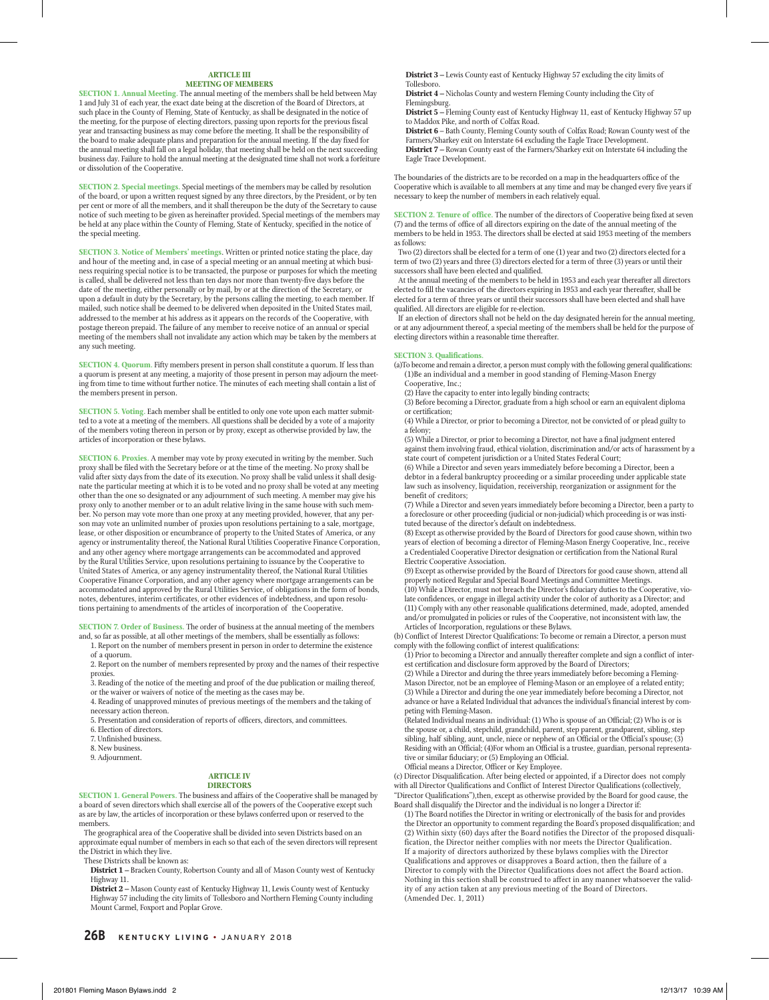#### **ARTICLE III MEETING OF MEMBERS**

**SECTION 1. Annual Meeting.** The annual meeting of the members shall be held between May 1 and July 31 of each year, the exact date being at the discretion of the Board of Directors, at such place in the County of Fleming, State of Kentucky, as shall be designated in the notice of the meeting, for the purpose of electing directors, passing upon reports for the previous fiscal year and transacting business as may come before the meeting. It shall be the responsibility of the board to make adequate plans and preparation for the annual meeting. If the day fixed for the annual meeting shall fall on a legal holiday, that meeting shall be held on the next succeeding business day. Failure to hold the annual meeting at the designated time shall not work a forfeiture or dissolution of the Cooperative.

**SECTION 2. Special meetings.** Special meetings of the members may be called by resolution of the board, or upon a written request signed by any three directors, by the President, or by ten per cent or more of all the members, and it shall thereupon be the duty of the Secretary to cause notice of such meeting to be given as hereinafter provided. Special meetings of the members may be held at any place within the County of Fleming, State of Kentucky, specified in the notice of the special meeting.

**SECTION 3. Notice of Members' meetings**. Written or printed notice stating the place, day and hour of the meeting and, in case of a special meeting or an annual meeting at which busi-ness requiring special notice is to be transacted, the purpose or purposes for which the meeting is called, shall be delivered not less than ten days nor more than twenty-five days before the date of the meeting, either personally or by mail, by or at the direction of the Secretary, or upon a default in duty by the Secretary, by the persons calling the meeting, to each member. If mailed, such notice shall be deemed to be delivered when deposited in the United States mail, addressed to the member at his address as it appears on the records of the Cooperative, with postage thereon prepaid. The failure of any member to receive notice of an annual or special meeting of the members shall not invalidate any action which may be taken by the members at any such meeting.

**SECTION 4. Quorum.** Fifty members present in person shall constitute a quorum. If less than a quorum is present at any meeting, a majority of those present in person may adjourn the meet-ing from time to time without further notice. The minutes of each meeting shall contain a list of the members present in person.

**SECTION 5. Voting.** Each member shall be entitled to only one vote upon each matter submitted to a vote at a meeting of the members. All questions shall be decided by a vote of a majority of the members voting thereon in person or by proxy, except as otherwise provided by law, the articles of incorporation or these bylaws.

**SECTION 6. Proxies.** A member may vote by proxy executed in writing by the member. Such proxy shall be filed with the Secretary before or at the time of the meeting. No proxy shall be valid after sixty days from the date of its execution. No proxy shall be valid unless it shall designate the particular meeting at which it is to be voted and no proxy shall be voted at any meeting other than the one so designated or any adjournment of such meeting. A member may give his roxy only to another member or to an adult relative living in the same house with such member. No person may vote more than one proxy at any meeting provided, however, that any person may vote an unlimited number of proxies upon resolutions pertaining to a sale, mortgage, lease, or other disposition or encumbrance of property to the United States of America, or any agency or instrumentality thereof, the National Rural Utilities Cooperative Finance Corporation, and any other agency where mortgage arrangements can be accommodated and approved by the Rural Utilities Service, upon resolutions pertaining to issuance by the Cooperative to United States of America, or any agency instrumentality thereof, the National Rural Utilities Cooperative Finance Corporation, and any other agency where mortgage arrangements can be accommodated and approved by the Rural Utilities Service, of obligations in the form of bonds, notes, debentures, interim certificates, or other evidences of indebtedness, and upon resolutions pertaining to amendments of the articles of incorporation of the Cooperative.

**SECTION 7. Order of Business.** The order of business at the annual meeting of the members and, so far as possible, at all other meetings of the members, shall be essentially as follows:

1. Report on the number of members present in person in order to determine the existence of a quorum.

2. Report on the number of members represented by proxy and the names of their respective proxies.

3. Reading of the notice of the meeting and proof of the due publication or mailing thereof, or the waiver or waivers of notice of the meeting as the cases may be.

4. Reading of unapproved minutes of previous meetings of the members and the taking of necessary action thereon.

5. Presentation and consideration of reports of officers, directors, and committees.

6. Election of directors.

7. Unfinished business.

8. New business.

9. Adjournment.

#### **ARTICLE IV DIRECTORS**

**SECTION 1. General Powers.** The business and affairs of the Cooperative shall be managed by a board of seven directors which shall exercise all of the powers of the Cooperative except such as are by law, the articles of incorporation or these bylaws conferred upon or reserved to the members.

 The geographical area of the Cooperative shall be divided into seven Districts based on an approximate equal number of members in each so that each of the seven directors will represent the District in which they live.

These Districts shall be known as:

**District 1 –** Bracken County, Robertson County and all of Mason County west of Kentucky Highway 11.

**District 2 –** Mason County east of Kentucky Highway 11, Lewis County west of Kentucky Highway 57 including the city limits of Tollesboro and Northern Fleming County including Mount Carmel, Foxport and Poplar Grove.

**District 3 –** Lewis County east of Kentucky Highway 57 excluding the city limits of Tollesboro.

**District 4 –** Nicholas County and western Fleming County including the City of

Flemingsburg. **District 5 –** Fleming County east of Kentucky Highway 11, east of Kentucky Highway 57 up

to Maddox Pike, and north of Colfax Road. **District 6** – Bath County, Fleming County south of Colfax Road; Rowan County west of the Farmers/Sharkey exit on Interstate 64 excluding the Eagle Trace Development.

**District 7 –** Rowan County east of the Farmers/Sharkey exit on Interstate 64 including the Eagle Trace Development.

The boundaries of the districts are to be recorded on a map in the headquarters office of the Cooperative which is available to all members at any time and may be changed every five years if necessary to keep the number of members in each relatively equal.

**SECTION 2. Tenure of office.** The number of the directors of Cooperative being fixed at seven (7) and the terms of office of all directors expiring on the date of the annual meeting of the members to be held in 1953. The directors shall be elected at said 1953 meeting of the members as follows:

Two (2) directors shall be elected for a term of one (1) year and two (2) directors elected for a term of two (2) years and three (3) directors elected for a term of three (3) years or until their successors shall have been elected and qualified.

At the annual meeting of the members to be held in 1953 and each year thereafter all directors elected to fill the vacancies of the directors expiring in 1953 and each year thereafter, shall be elected for a term of three years or until their successors shall have been elected and shall have qualified. All directors are eligible for re-election.

If an election of directors shall not be held on the day designated herein for the annual meeting, or at any adjournment thereof, a special meeting of the members shall be held for the purpose of electing directors within a reasonable time thereafter.

#### **SECTION 3. Qualifications.**

(a)To become and remain a director, a person must comply with the following general qualifications: (1)Be an individual and a member in good standing of Fleming-Mason Energy Cooperative, Inc.;

(2) Have the capacity to enter into legally binding contracts;

(3) Before becoming a Director, graduate from a high school or earn an equivalent diploma or certification;

(4) While a Director, or prior to becoming a Director, not be convicted of or plead guilty to a felony;

(5) While a Director, or prior to becoming a Director, not have a final judgment entered against them involving fraud, ethical violation, discrimination and/or acts of harassment by a state court of competent jurisdiction or a United States Federal Court;

(6) While a Director and seven years immediately before becoming a Director, been a debtor in a federal bankruptcy proceeding or a similar proceeding under applicable state law such as insolvency, liquidation, receivership, reorganization or assignment for the benefit of creditors;

(7) While a Director and seven years immediately before becoming a Director, been a party to a foreclosure or other proceeding (judicial or non-judicial) which proceeding is or was insti-tuted because of the director's default on indebtedness.

(8) Except as otherwise provided by the Board of Directors for good cause shown, within two years of election of becoming a director of Fleming-Mason Energy Cooperative, Inc., receive a Credentialed Cooperative Director designation or certification from the National Rural Electric Cooperative Association.

(9) Except as otherwise provided by the Board of Directors for good cause shown, attend all properly noticed Regular and Special Board Meetings and Committee Meetings. (10) While a Director, must not breach the Director's fiduciary duties to the Cooperative, violate confidences, or engage in illegal activity under the color of authority as a Director; and (11) Comply with any other reasonable qualifications determined, made, adopted, amended and/or promulgated in policies or rules of the Cooperative, not inconsistent with law, the Articles of Incorporation, regulations or these Bylaws.

(b) Conflict of Interest Director Qualifications: To become or remain a Director, a person must comply with the following conflict of interest qualifications:

(1) Prior to becoming a Director and annually thereafter complete and sign a conflict of inter-est certification and disclosure form approved by the Board of Directors;

(2) While a Director and during the three years immediately before becoming a Fleming-Mason Director, not be an employee of Fleming-Mason or an employee of a related entity; (3) While a Director and during the one year immediately before becoming a Director, not advance or have a Related Individual that advances the individual's financial interest by competing with Fleming-Mason.

(Related Individual means an individual: (1) Who is spouse of an Official; (2) Who is or is the spouse or, a child, stepchild, grandchild, parent, step parent, grandparent, sibling, step sibling, half sibling, aunt, uncle, niece or nephew of an Official or the Official's spouse; (3) Residing with an Official; (4)For whom an Official is a trustee, guardian, personal representative or similar fiduciary; or (5) Employing an Official. Official means a Director, Officer or Key Employee.

(c) Director Disqualification. After being elected or appointed, if a Director does not comply with all Director Qualifications and Conflict of Interest Director Qualifications (collectively, "Director Qualifications"),then, except as otherwise provided by the Board for good cause, the Board shall disqualify the Director and the individual is no longer a Director if:

(1) The Board notifies the Director in writing or electronically of the basis for and provides the Director an opportunity to comment regarding the Board's proposed disqualification; and (2) Within sixty (60) days after the Board notifies the Director of the proposed disqualification, the Director neither complies with nor meets the Director Qualification. If a majority of directors authorized by these bylaws complies with the Director Qualifications and approves or disapproves a Board action, then the failure of a Director to comply with the Director Qualifications does not affect the Board action. Nothing in this section shall be construed to affect in any manner whatsoever the validity of any action taken at any previous meeting of the Board of Directors. (Amended Dec. 1, 2011)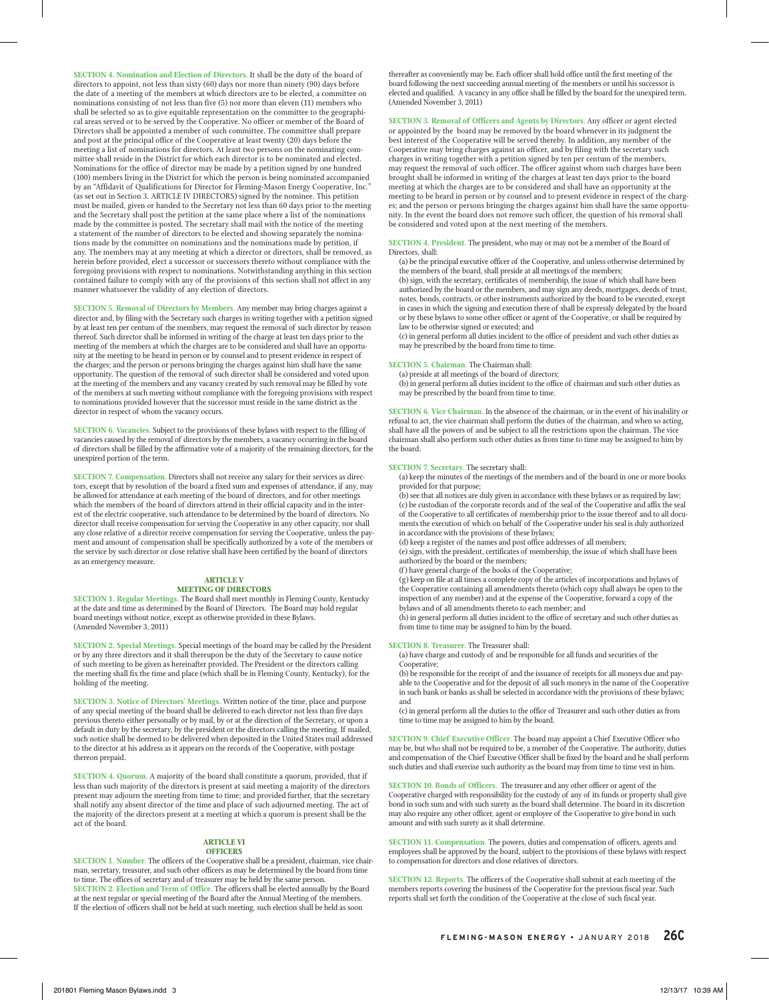**SECTION 4. Nomination and Election of Directors.** It shall be the duty of the board of directors to appoint, not less than sixty (60) days nor more than ninety (90) days before the date of a meeting of the members at which directors are to be elected, a committee on nominations consisting of not less than five (5) nor more than eleven (11) members who shall be selected so as to give equitable representation on the committee to the geographical areas served or to be served by the Cooperative. No officer or member of the Board of Directors shall be appointed a member of such committee. The committee shall prepare and post at the principal office of the Cooperative at least twenty (20) days before the meeting a list of nominations for directors. At least two persons on the nominating committee shall reside in the District for which each director is to be nominated and elected. Nominations for the office of director may be made by a petition signed by one hundred (100) members living in the District for which the person is being nominated accompanied by an "Affidavit of Qualifications for Director for Fleming-Mason Energy Cooperative, Inc." (as set out in Section 3. ARTICLE IV DIRECTORS) signed by the nominee. This petition must be mailed, given or handed to the Secretary not less than 60 days prior to the meeting and the Secretary shall post the petition at the same place where a list of the nominations made by the committee is posted. The secretary shall mail with the notice of the meeting a statement of the number of directors to be elected and showing separately the nominations made by the committee on nominations and the nominations made by petition, if any. The members may at any meeting at which a director or directors, shall be removed, as herein before provided, elect a successor or successors thereto without compliance with the foregoing provisions with respect to nominations. Notwithstanding anything in this section contained failure to comply with any of the provisions of this section shall not affect in any manner whatsoever the validity of any election of directors.

**SECTION 5. Removal of Directors by Members.** Any member may bring charges against a director and, by filing with the Secretary such charges in writing together with a petition signed by at least ten per centum of the members, may request the removal of such director by reason thereof. Such director shall be informed in writing of the charge at least ten days prior to the meeting of the members at which the charges are to be considered and shall have an opportunity at the meeting to be heard in person or by counsel and to present evidence in respect of the charges; and the person or persons bringing the charges against him shall have the same opportunity. The question of the removal of such director shall be considered and voted upon at the meeting of the members and any vacancy created by such removal may be filled by vote of the members at such meeting without compliance with the foregoing provisions with respect to nominations provided however that the successor must reside in the same district as the director in respect of whom the vacancy occurs.

**SECTION 6. Vacancies.** Subject to the provisions of these bylaws with respect to the filling of vacancies caused by the removal of directors by the members, a vacancy occurring in the board of directors shall be filled by the affirmative vote of a majority of the remaining directors, for the unexpired portion of the term.

**SECTION 7. Compensation.** Directors shall not receive any salary for their services as directors, except that by resolution of the board a fixed sum and expenses of attendance, if any, may be allowed for attendance at each meeting of the board of directors, and for other meetings which the members of the board of directors attend in their official capacity and in the interest of the electric cooperative, such attendance to be determined by the board of directors. No director shall receive compensation for serving the Cooperative in any other capacity, nor shall any close relative of a director receive compensation for serving the Cooperative, unless the payment and amount of compensation shall be specifically authorized by a vote of the members or the service by such director or close relative shall have been certified by the board of directors as an emergency measure.

#### **ARTICLE V MEETING OF DIRECTORS**

**SECTION 1. Regular Meetings.** The Board shall meet monthly in Fleming County, Kentucky at the date and time as determined by the Board of Directors. The Board may hold regular board meetings without notice, except as otherwise provided in these Bylaws. (Amended November 3, 2011)

**SECTION 2. Special Meetings.** Special meetings of the board may be called by the President or by any three directors and it shall thereupon be the duty of the Secretary to cause notice of such meeting to be given as hereinafter provided. The President or the directors calling the meeting shall fix the time and place (which shall be in Fleming County, Kentucky), for the holding of the meeting.

**SECTION 3. Notice of Directors' Meetings.** Written notice of the time, place and purpose of any special meeting of the board shall be delivered to each director not less than five days previous thereto either personally or by mail, by or at the direction of the Secretary, or upon a default in duty by the secretary, by the president or the directors calling the meeting. If mailed, such notice shall be deemed to be delivered when deposited in the United States mail addressed to the director at his address as it appears on the records of the Cooperative, with postage thereon prepaid.

**SECTION 4. Quorum.** A majority of the board shall constitute a quorum, provided, that if less than such majority of the directors is present at said meeting a majority of the directors present may adjourn the meeting from time to time; and provided further, that the secretary shall notify any absent director of the time and place of such adjourned meeting. The act of the majority of the directors present at a meeting at which a quorum is present shall be the act of the board.

#### **ARTICLE VI OFFICERS**

**SECTION 1. Number.** The officers of the Cooperative shall be a president, chairman, vice chairman, secretary, treasurer, and such other officers as may be determined by the board from time to time. The offices of secretary and of treasurer may be held by the same person. **SECTION 2. Election and Term of Office.** The officers shall be elected annually by the Board at the next regular or special meeting of the Board after the Annual Meeting of the members. If the election of officers shall not be held at such meeting, such election shall be held as soon

thereafter as conveniently may be. Each officer shall hold office until the first meeting of the board following the next succeeding annual meeting of the members or until his successor is elected and qualified. A vacancy in any office shall be filled by the board for the unexpired term. (Amended November 3, 2011)

**SECTION 3. Removal of Officers and Agents by Directors.** Any officer or agent elected or appointed by the board may be removed by the board whenever in its judgment the best interest of the Cooperative will be served thereby. In addition, any member of the Cooperative may bring charges against an officer, and by filing with the secretary such charges in writing together with a petition signed by ten per centum of the members, may request the removal of such officer. The officer against whom such charges have been brought shall be informed in writing of the charges at least ten days prior to the board meeting at which the charges are to be considered and shall have an opportunity at the meeting to be heard in person or by counsel and to present evidence in respect of the charges; and the person or persons bringing the charges against him shall have the same opportunity. In the event the board does not remove such officer, the question of his removal shall be considered and voted upon at the next meeting of the members.

#### **SECTION 4. President.** The president, who may or may not be a member of the Board of Directors, shall:

(a) be the principal executive officer of the Cooperative, and unless otherwise determined by the members of the board, shall preside at all meetings of the members; (b) sign, with the secretary, certificates of membership, the issue of which shall have been authorized by the board or the members, and may sign any deeds, mortgages, deeds of trust, notes, bonds, contracts, or other instruments authorized by the board to be executed, except in cases in which the signing and execution there of shall be expressly delegated by the board or by these bylaws to some other officer or agent of the Cooperative, or shall be required by law to be otherwise signed or executed; and

(c) in general perform all duties incident to the office of president and such other duties as may be prescribed by the board from time to time.

#### **SECTION 5. Chairman.** The Chairman shall:

(a) preside at all meetings of the board of directors;

(b) in general perform all duties incident to the office of chairman and such other duties as may be prescribed by the board from time to time.

**SECTION 6. Vice Chairman.** In the absence of the chairman, or in the event of his inability or refusal to act, the vice chairman shall perform the duties of the chairman, and when so acting, shall have all the powers of and be subject to all the restrictions upon the chairman. The vice chairman shall also perform such other duties as from time to time may be assigned to him by the board.

#### **SECTION 7. Secretary.** The secretary shall:

(a) keep the minutes of the meetings of the members and of the board in one or more books provided for that purpose;

(b) see that all notices are duly given in accordance with these bylaws or as required by law; (c) be custodian of the corporate records and of the seal of the Cooperative and affix the seal of the Cooperative to all certificates of membership prior to the issue thereof and to all documents the execution of which on behalf of the Cooperative under his seal is duly authorized in accordance with the provisions of these bylaws;

(d) keep a register of the names and post office addresses of all members;

(e) sign, with the president, certificates of membership, the issue of which shall have been authorized by the board or the members;

(f ) have general charge of the books of the Cooperative;

(g) keep on file at all times a complete copy of the articles of incorporations and bylaws of the Cooperative containing all amendments thereto (which copy shall always be open to the inspection of any member) and at the expense of the Cooperative, forward a copy of the bylaws and of all amendments thereto to each member; and

(h) in general perform all duties incident to the office of secretary and such other duties as from time to time may be assigned to him by the board.

#### **SECTION 8. Treasurer.** The Treasurer shall:

(a) have charge and custody of and be responsible for all funds and securities of the Cooperative;

(b) be responsible for the receipt of and the issuance of receipts for all moneys due and payable to the Cooperative and for the deposit of all such moneys in the name of the Cooperative in such bank or banks as shall be selected in accordance with the provisions of these bylaws; and

(c) in general perform all the duties to the office of Treasurer and such other duties as from time to time may be assigned to him by the board.

**SECTION 9. Chief Executive Officer.** The board may appoint a Chief Executive Officer who may be, but who shall not be required to be, a member of the Cooperative. The authority, duties and compensation of the Chief Executive Officer shall be fixed by the board and he shall perform such duties and shall exercise such authority as the board may from time to time vest in him.

**SECTION 10. Bonds of Officers.** The treasurer and any other officer or agent of the Cooperative charged with responsibility for the custody of any of its funds or property shall give bond in such sum and with such surety as the board shall determine. The board in its discretion may also require any other officer, agent or employee of the Cooperative to give bond in such amount and with such surety as it shall determine.

**SECTION 11. Compensation.** The powers, duties and compensation of officers, agents and employees shall be approved by the board, subject to the provisions of these bylaws with respect to compensation for directors and close relatives of directors.

**SECTION 12. Reports.** The officers of the Cooperative shall submit at each meeting of the members reports covering the business of the Cooperative for the previous fiscal year. Such reports shall set forth the condition of the Cooperative at the close of such fiscal year.

**FLEMING-MASON ENERGY** • JANUARY 2018 **26C**